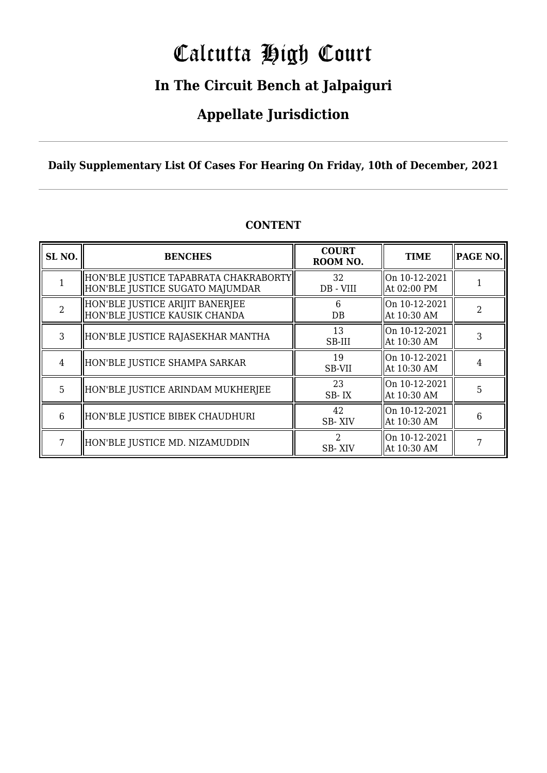# Calcutta High Court

### **In The Circuit Bench at Jalpaiguri**

### **Appellate Jurisdiction**

### **Daily Supplementary List Of Cases For Hearing On Friday, 10th of December, 2021**

| SL <sub>NO.</sub> | <b>BENCHES</b>                                                            | <b>COURT</b><br>ROOM NO.              | <b>TIME</b>                  | <b>PAGE NO.</b> |
|-------------------|---------------------------------------------------------------------------|---------------------------------------|------------------------------|-----------------|
|                   | HON'BLE JUSTICE TAPABRATA CHAKRABORTY <br>HON'BLE JUSTICE SUGATO MAJUMDAR | 32<br>DB - VIII                       | On 10-12-2021<br>At 02:00 PM |                 |
| $\mathfrak{D}$    | HON'BLE JUSTICE ARIJIT BANERJEE<br>HON'BLE JUSTICE KAUSIK CHANDA          | h<br>DB                               | On 10-12-2021<br>At 10:30 AM | 2               |
| 3                 | HON'BLE JUSTICE RAJASEKHAR MANTHA                                         | 13<br>SB-III                          | On 10-12-2021<br>At 10:30 AM |                 |
| 4                 | HON'BLE JUSTICE SHAMPA SARKAR                                             | 19<br>SB-VII                          | On 10-12-2021<br>At 10:30 AM |                 |
| 5                 | HON'BLE JUSTICE ARINDAM MUKHERJEE                                         | 23<br>SB-IX                           | On 10-12-2021<br>At 10:30 AM | 5               |
| 6                 | HON'BLE JUSTICE BIBEK CHAUDHURI                                           | 42<br><b>SB-XIV</b>                   | On 10-12-2021<br>At 10:30 AM | 6               |
| 7                 | HON'BLE JUSTICE MD. NIZAMUDDIN                                            | $\mathcal{D}_{\mathcal{L}}$<br>SB-XIV | On 10-12-2021<br>At 10:30 AM |                 |

### **CONTENT**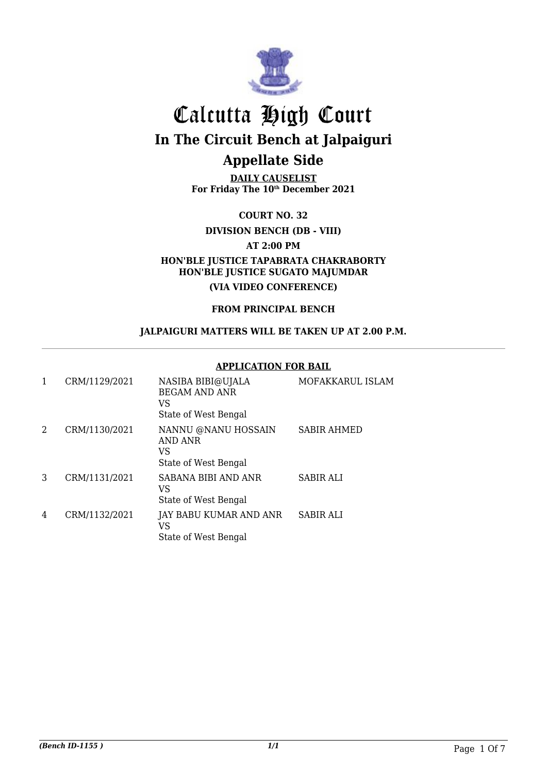

**DAILY CAUSELIST For Friday The 10th December 2021**

**COURT NO. 32**

**DIVISION BENCH (DB - VIII)**

**AT 2:00 PM**

**HON'BLE JUSTICE TAPABRATA CHAKRABORTY HON'BLE JUSTICE SUGATO MAJUMDAR**

**(VIA VIDEO CONFERENCE)**

**FROM PRINCIPAL BENCH**

**JALPAIGURI MATTERS WILL BE TAKEN UP AT 2.00 P.M.**

#### **APPLICATION FOR BAIL**

| 1 | CRM/1129/2021 | NASIBA BIBI@UJALA<br><b>BEGAM AND ANR</b><br>VS<br>State of West Bengal | MOFAKKARUL ISLAM   |
|---|---------------|-------------------------------------------------------------------------|--------------------|
| 2 | CRM/1130/2021 | NANNU @NANU HOSSAIN<br>AND ANR<br>VS<br>State of West Bengal            | <b>SABIR AHMED</b> |
| 3 | CRM/1131/2021 | SABANA BIBI AND ANR<br>VS<br>State of West Bengal                       | <b>SABIR ALI</b>   |
| 4 | CRM/1132/2021 | JAY BABU KUMAR AND ANR<br>VS<br>State of West Bengal                    | <b>SABIR ALI</b>   |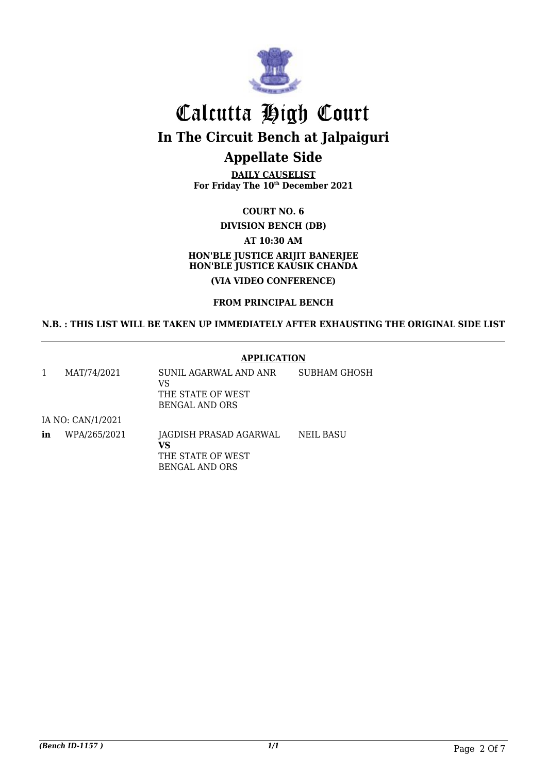

# Calcutta High Court **In The Circuit Bench at Jalpaiguri**

### **Appellate Side**

**DAILY CAUSELIST For Friday The 10th December 2021**

#### **COURT NO. 6**

**DIVISION BENCH (DB) AT 10:30 AM**

### **HON'BLE JUSTICE ARIJIT BANERJEE HON'BLE JUSTICE KAUSIK CHANDA (VIA VIDEO CONFERENCE)**

#### **FROM PRINCIPAL BENCH**

#### **N.B. : THIS LIST WILL BE TAKEN UP IMMEDIATELY AFTER EXHAUSTING THE ORIGINAL SIDE LIST**

#### **APPLICATION**

1 MAT/74/2021 SUNIL AGARWAL AND ANR VS THE STATE OF WEST BENGAL AND ORS SUBHAM GHOSH IA NO: CAN/1/2021

**in** WPA/265/2021 JAGDISH PRASAD AGARWAL **VS** THE STATE OF WEST BENGAL AND ORS NEIL BASU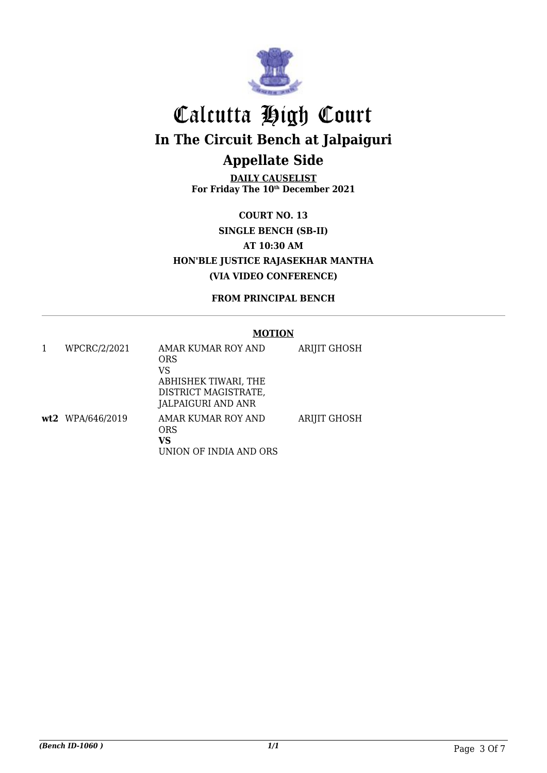

**DAILY CAUSELIST For Friday The 10th December 2021**

**COURT NO. 13 SINGLE BENCH (SB-II) AT 10:30 AM HON'BLE JUSTICE RAJASEKHAR MANTHA (VIA VIDEO CONFERENCE)**

**FROM PRINCIPAL BENCH**

#### **MOTION**

| WPCRC/2/2021     | AMAR KUMAR ROY AND<br><b>ORS</b><br>VS<br>ABHISHEK TIWARI, THE<br>DISTRICT MAGISTRATE,<br>JALPAIGURI AND ANR | <b>ARIJIT GHOSH</b> |
|------------------|--------------------------------------------------------------------------------------------------------------|---------------------|
| wt2 WPA/646/2019 | AMAR KUMAR ROY AND<br><b>ORS</b><br>VS<br>UNION OF INDIA AND ORS                                             | <b>ARIJIT GHOSH</b> |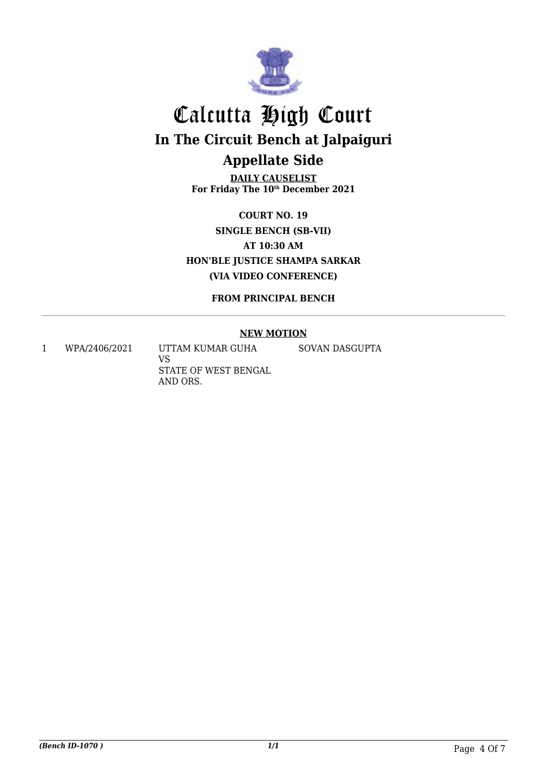

**DAILY CAUSELIST For Friday The 10th December 2021**

**COURT NO. 19 SINGLE BENCH (SB-VII) AT 10:30 AM HON'BLE JUSTICE SHAMPA SARKAR (VIA VIDEO CONFERENCE)**

**FROM PRINCIPAL BENCH**

#### **NEW MOTION**

1 WPA/2406/2021 UTTAM KUMAR GUHA

VS STATE OF WEST BENGAL AND ORS.

SOVAN DASGUPTA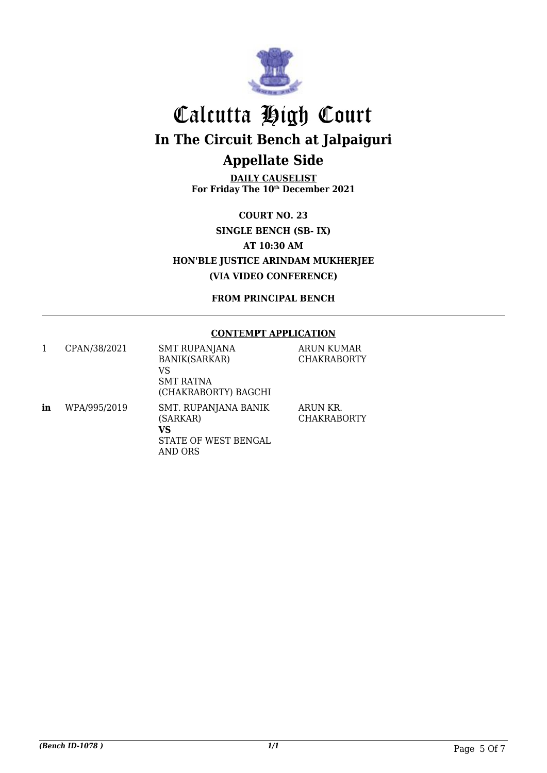

**DAILY CAUSELIST For Friday The 10th December 2021**

**COURT NO. 23 SINGLE BENCH (SB- IX) AT 10:30 AM HON'BLE JUSTICE ARINDAM MUKHERJEE (VIA VIDEO CONFERENCE)**

**FROM PRINCIPAL BENCH**

#### **CONTEMPT APPLICATION**

|    | CPAN/38/2021 | <b>SMT RUPANJANA</b><br><b>BANIK(SARKAR)</b><br>VS<br><b>SMT RATNA</b><br>(CHAKRABORTY) BAGCHI | ARUN KUMAR<br><b>CHAKRABORTY</b> |
|----|--------------|------------------------------------------------------------------------------------------------|----------------------------------|
| in | WPA/995/2019 | SMT. RUPANJANA BANIK<br>(SARKAR)<br>VS<br>STATE OF WEST BENGAL<br>AND ORS                      | ARUN KR.<br><b>CHAKRABORTY</b>   |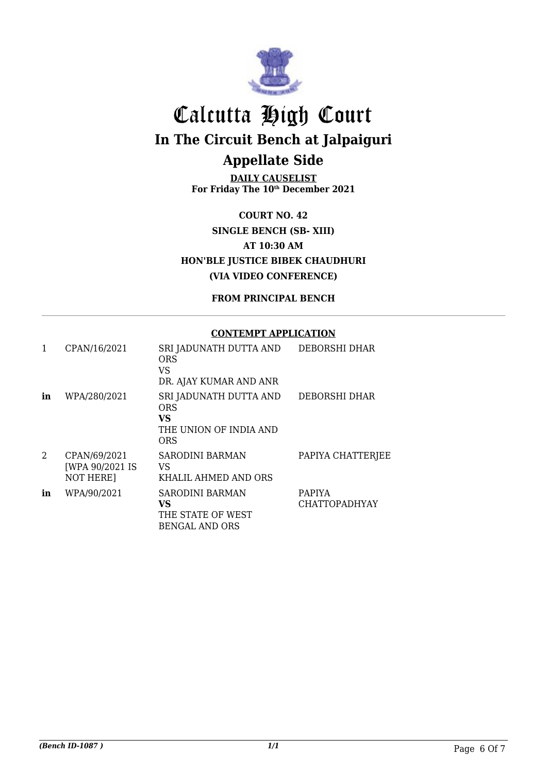

**DAILY CAUSELIST For Friday The 10th December 2021**

**COURT NO. 42 SINGLE BENCH (SB- XIII) AT 10:30 AM HON'BLE JUSTICE BIBEK CHAUDHURI (VIA VIDEO CONFERENCE)**

**FROM PRINCIPAL BENCH**

#### **CONTEMPT APPLICATION**

| 1  | CPAN/16/2021                                        | SRI JADUNATH DUTTA AND<br>ORS<br>VS<br>DR. AJAY KUMAR AND ANR               | DEBORSHI DHAR                         |
|----|-----------------------------------------------------|-----------------------------------------------------------------------------|---------------------------------------|
| in | WPA/280/2021                                        | SRI JADUNATH DUTTA AND<br>ORS<br>VS<br>THE UNION OF INDIA AND<br><b>ORS</b> | DEBORSHI DHAR                         |
| 2  | CPAN/69/2021<br>[WPA 90/2021 IS<br><b>NOT HERE]</b> | <b>SARODINI BARMAN</b><br>VS<br>KHALIL AHMED AND ORS                        | PAPIYA CHATTERJEE                     |
| in | WPA/90/2021                                         | <b>SARODINI BARMAN</b><br>VS<br>THE STATE OF WEST<br><b>BENGAL AND ORS</b>  | <b>PAPIYA</b><br><b>CHATTOPADHYAY</b> |